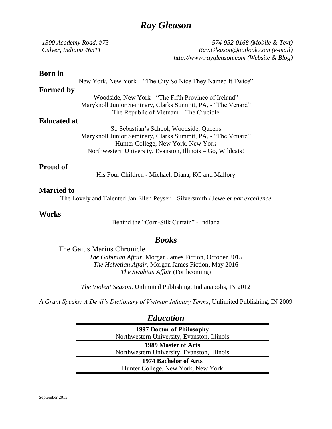# *Ray Gleason*

| 1300 Academy Road, #73<br>Culver, Indiana 46511 | 574-952-0168 (Mobile & Text)<br>Ray.Gleason@outlook.com (e-mail)<br>http://www.raygleason.com (Website & Blog) |
|-------------------------------------------------|----------------------------------------------------------------------------------------------------------------|
|                                                 |                                                                                                                |
| <b>Born</b> in                                  |                                                                                                                |
|                                                 | New York, New York – "The City So Nice They Named It Twice"                                                    |
| <b>Formed by</b>                                |                                                                                                                |
|                                                 | Woodside, New York - "The Fifth Province of Ireland"                                                           |
|                                                 | Maryknoll Junior Seminary, Clarks Summit, PA, - "The Venard"                                                   |
|                                                 | The Republic of Vietnam $-$ The Crucible                                                                       |
| <b>Educated at</b>                              |                                                                                                                |
| St. Sebastian's School, Woodside, Queens        |                                                                                                                |
|                                                 | Maryknoll Junior Seminary, Clarks Summit, PA, - "The Venard"                                                   |
|                                                 | Hunter College, New York, New York                                                                             |
|                                                 | Northwestern University, Evanston, Illinois – Go, Wildcats!                                                    |

### **Proud of**

His Four Children - Michael, Diana, KC and Mallory

#### **Married to**

The Lovely and Talented Jan Ellen Peyser – Silversmith / Jeweler *par excellence*

#### **Works**

Behind the "Corn-Silk Curtain" - Indiana

## *Books*

The Gaius Marius Chronicle

*The Gabinian Affair*, Morgan James Fiction, October 2015 *The Helvetian Affair*, Morgan James Fiction, May 2016 *The Swabian Affair* (Forthcoming)

*The Violent Season*. Unlimited Publishing, Indianapolis, IN 2012

*A Grunt Speaks: A Devil's Dictionary of Vietnam Infantry Terms*, Unlimited Publishing, IN 2009

## *Education*

**1997 Doctor of Philosophy**  Northwestern University, Evanston, Illinois **1989 Master of Arts**  Northwestern University, Evanston, Illinois **1974 Bachelor of Arts**  Hunter College, New York, New York